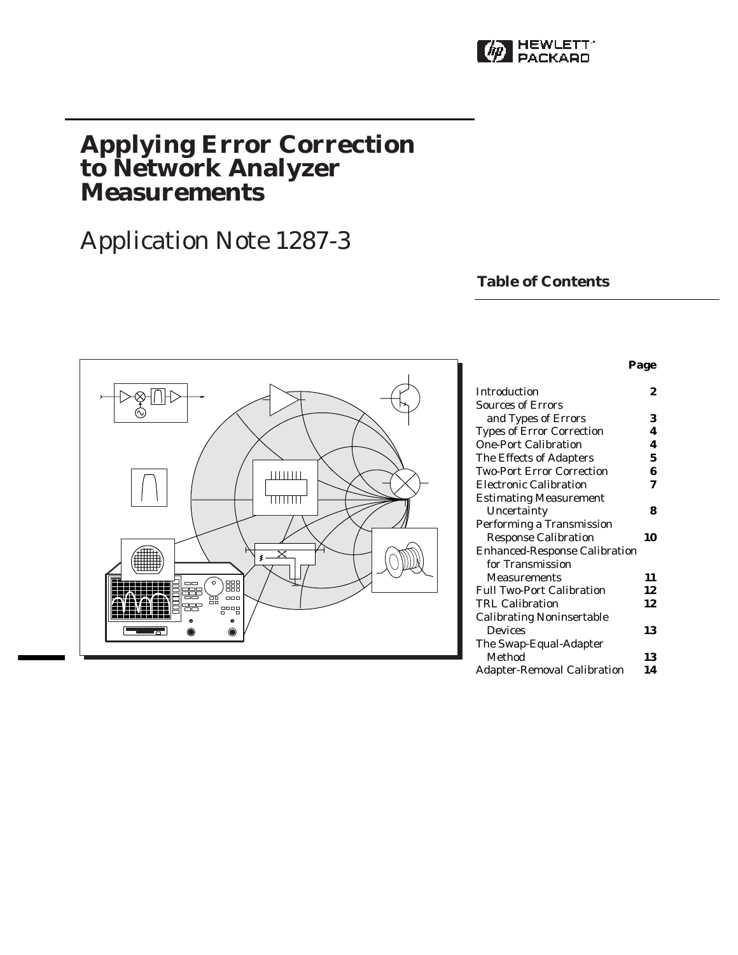

# **Applying Error Correction to Network Analyzer Measurements**

# Application Note 1287-3

# **Table of Contents**



## **Page**

| Introduction                         | 2  |
|--------------------------------------|----|
| <b>Sources of Errors</b>             |    |
| and Types of Errors                  | 3  |
| <b>Types of Error Correction</b>     | 4  |
| <b>One-Port Calibration</b>          | 4  |
| The Effects of Adapters              | 5  |
| <b>Two-Port Error Correction</b>     | 6  |
| <b>Electronic Calibration</b>        | 7  |
| <b>Estimating Measurement</b>        |    |
| Uncertainty                          | 8  |
| Performing a Transmission            |    |
| <b>Response Calibration</b>          | 10 |
| <b>Enhanced-Response Calibration</b> |    |
| for Transmission                     |    |
| <b>Measurements</b>                  | 11 |
| <b>Full Two-Port Calibration</b>     | 12 |
| TRL Calibration                      | 12 |
| <b>Calibrating Noninsertable</b>     |    |
| <b>Devices</b>                       | 13 |
| The Swap-Equal-Adapter               |    |
| Method                               | 13 |
| <b>Adapter-Removal Calibration</b>   | 14 |
|                                      |    |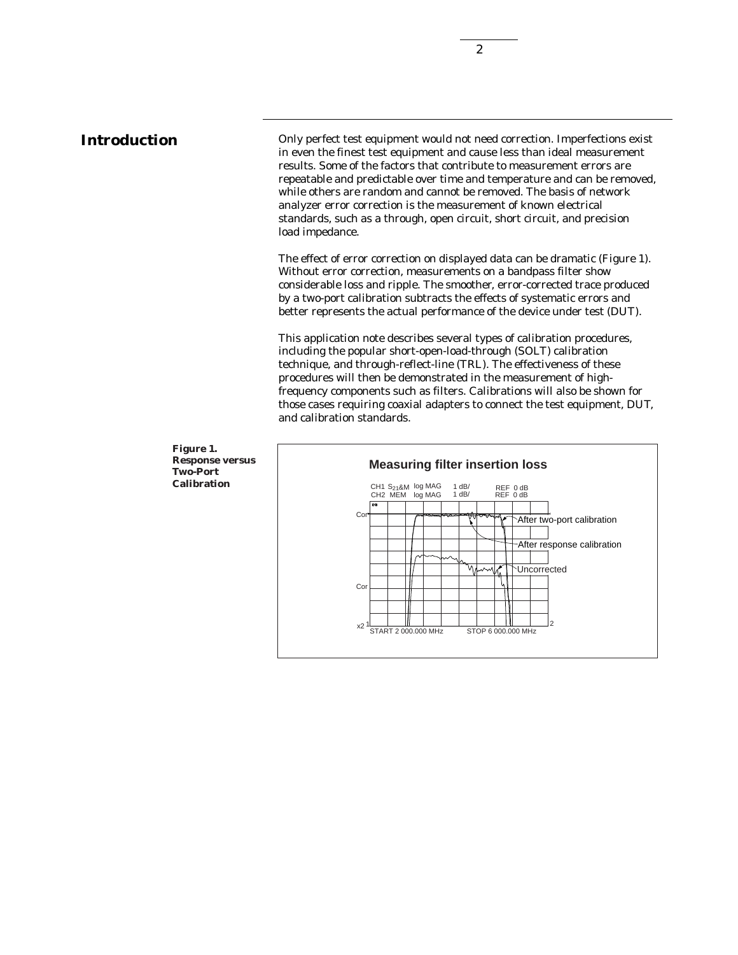Only perfect test equipment would not need correction. Imperfections exist in even the finest test equipment and cause less than ideal measurement results. Some of the factors that contribute to measurement errors are repeatable and predictable over time and temperature and can be removed, while others are random and cannot be removed. The basis of network analyzer error correction is the measurement of known electrical standards, such as a through, open circuit, short circuit, and precision load impedance.

The effect of error correction on displayed data can be dramatic (Figure 1). Without error correction, measurements on a bandpass filter show considerable loss and ripple. The smoother, error-corrected trace produced by a two-port calibration subtracts the effects of systematic errors and better represents the actual performance of the device under test (DUT).

This application note describes several types of calibration procedures, including the popular short-open-load-through (SOLT) calibration technique, and through-reflect-line (TRL). The effectiveness of these procedures will then be demonstrated in the measurement of highfrequency components such as filters. Calibrations will also be shown for those cases requiring coaxial adapters to connect the test equipment, DUT, and calibration standards.

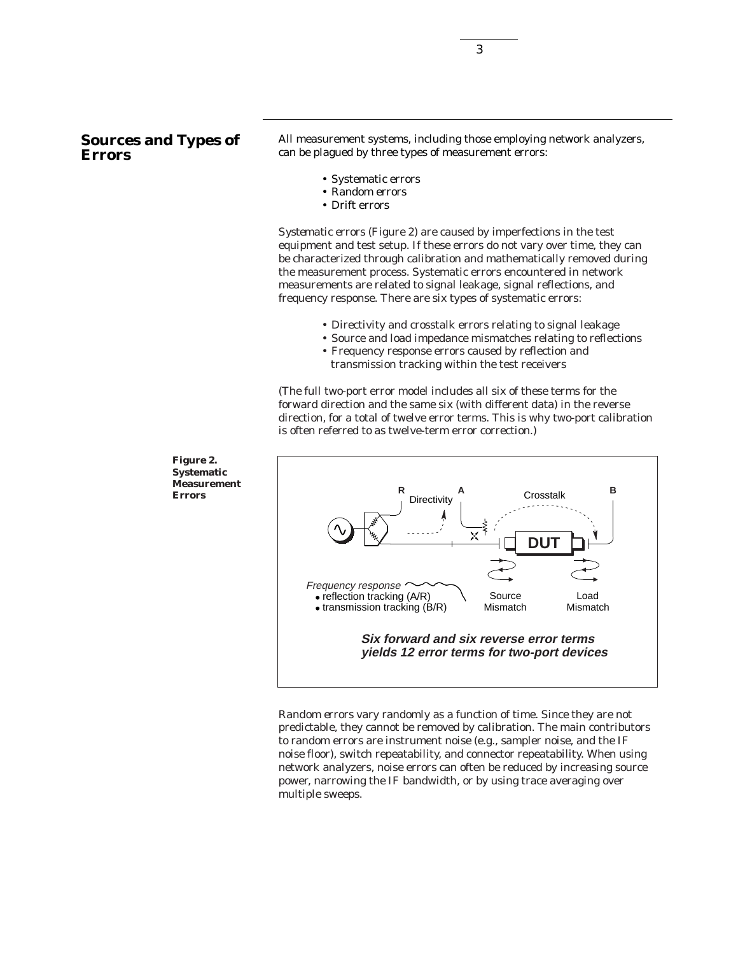# **Sources and Types of Errors**

All measurement systems, including those employing network analyzers, can be plagued by three types of measurement errors:

- Systematic errors
- Random errors
- Drift errors

*Systematic errors* (Figure 2) are caused by imperfections in the test equipment and test setup. If these errors do not vary over time, they can be characterized through calibration and mathematically removed during the measurement process. Systematic errors encountered in network measurements are related to signal leakage, signal reflections, and frequency response. There are six types of systematic errors:

- Directivity and crosstalk errors relating to signal leakage
- Source and load impedance mismatches relating to reflections
- Frequency response errors caused by reflection and transmission tracking within the test receivers

(The full two-port error model includes all six of these terms for the forward direction and the same six (with different data) in the reverse direction, for a total of twelve error terms. This is why two-port calibration is often referred to as twelve-term error correction.)



*Random errors* vary randomly as a function of time. Since they are not predictable, they cannot be removed by calibration. The main contributors to random errors are instrument noise (e.g., sampler noise, and the IF noise floor), switch repeatability, and connector repeatability. When using network analyzers, noise errors can often be reduced by increasing source power, narrowing the IF bandwidth, or by using trace averaging over multiple sweeps.

**Systematic Measurement Errors**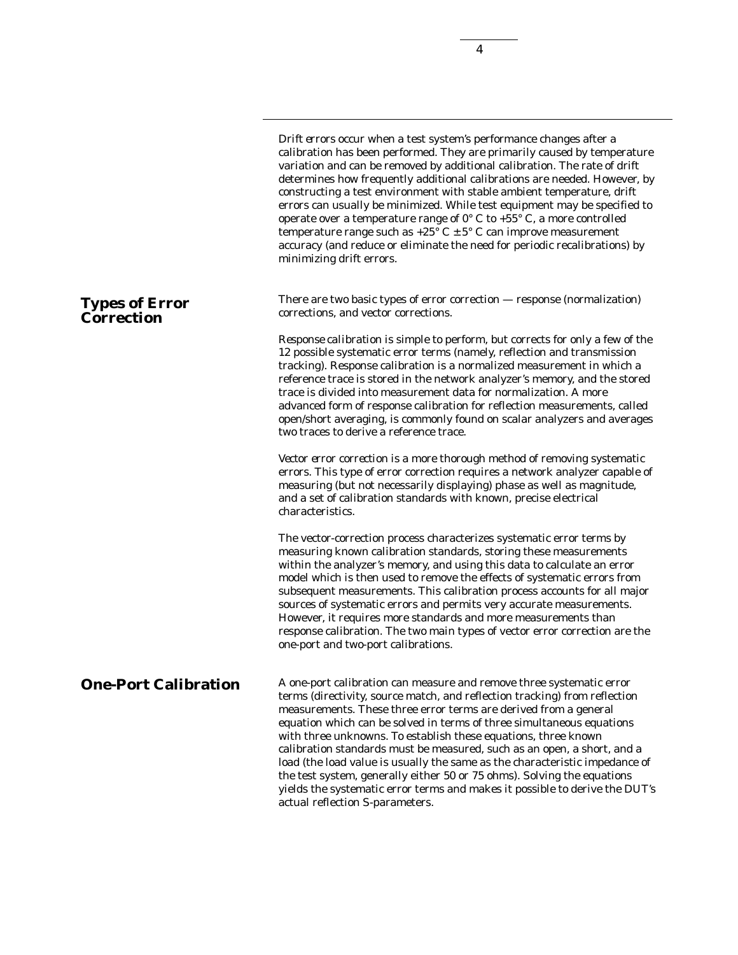A one-port calibration can measure and remove three systematic error terms (directivity, source match, and reflection tracking) from reflection measurements. These three error terms are derived from a general equation which can be solved in terms of three simultaneous equations with three unknowns. To establish these equations, three known calibration standards must be measured, such as an open, a short, and a load (the load value is usually the same as the characteristic impedance of the test system, generally either 50 or 75 ohms). Solving the equations yields the systematic error terms and makes it possible to derive the DUT's variation and can be removed by additional calibration. The rate of drift determines how frequently additional calibrations are needed. However, by constructing a test environment with stable ambient temperature, drift errors can usually be minimized. While test equipment may be specified to operate over a temperature range of  $0^{\circ}$  C to +55 $^{\circ}$  C, a more controlled temperature range such as  $+25^{\circ}$  C  $\pm 5^{\circ}$  C can improve measurement accuracy (and reduce or eliminate the need for periodic recalibrations) by minimizing drift errors. There are two basic types of error correction — response (normalization) corrections, and vector corrections. *Response calibration* is simple to perform, but corrects for only a few of the 12 possible systematic error terms (namely, reflection and transmission tracking). Response calibration is a normalized measurement in which a reference trace is stored in the network analyzer's memory, and the stored trace is divided into measurement data for normalization. A more advanced form of response calibration for reflection measurements, called open/short averaging, is commonly found on scalar analyzers and averages two traces to derive a reference trace. *Vector error correction* is a more thorough method of removing systematic errors. This type of error correction requires a network analyzer capable of measuring (but not necessarily displaying) phase as well as magnitude, and a set of calibration standards with known, precise electrical characteristics. The vector-correction process characterizes systematic error terms by measuring known calibration standards, storing these measurements within the analyzer's memory, and using this data to calculate an error model which is then used to remove the effects of systematic errors from subsequent measurements. This calibration process accounts for all major sources of systematic errors and permits very accurate measurements. However, it requires more standards and more measurements than response calibration. The two main types of vector error correction are the one-port and two-port calibrations. **Types of Error Correction One-Port Calibration**

4

*Drift errors* occur when a test system's performance changes after a calibration has been performed. They are primarily caused by temperature

actual reflection S-parameters.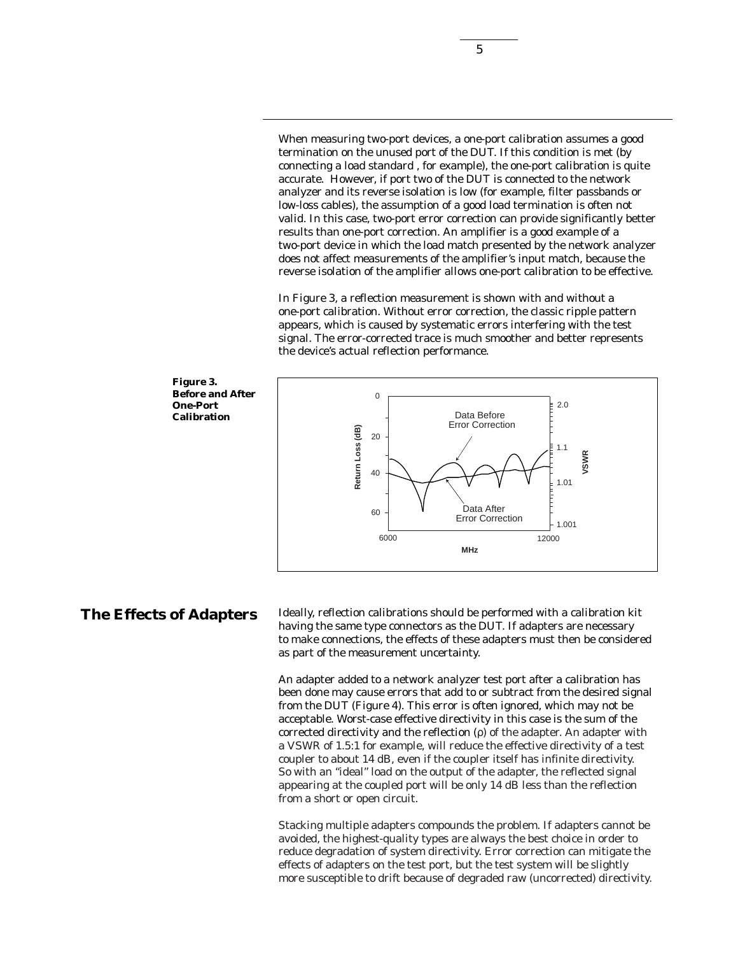When measuring two-port devices, a one-port calibration assumes a good termination on the unused port of the DUT. If this condition is met (by connecting a load standard , for example), the one-port calibration is quite accurate. However, if port two of the DUT is connected to the network analyzer and its reverse isolation is low (for example, filter passbands or low-loss cables), the assumption of a good load termination is often not valid. In this case, two-port error correction can provide significantly better results than one-port correction. An amplifier is a good example of a two-port device in which the load match presented by the network analyzer does not affect measurements of the amplifier's input match, because the reverse isolation of the amplifier allows one-port calibration to be effective.

In Figure 3, a reflection measurement is shown with and without a one-port calibration. Without error correction, the classic ripple pattern appears, which is caused by systematic errors interfering with the test signal. The error-corrected trace is much smoother and better represents the device's actual reflection performance.



**Before and After One-Port Calibration**

**The Effects of Adapters** Ideally, reflection calibrations should be performed with a calibration kit having the same type connectors as the DUT. If adapters are necessary to make connections, the effects of these adapters must then be considered as part of the measurement uncertainty.

> An adapter added to a network analyzer test port after a calibration has been done may cause errors that add to or subtract from the desired signal from the DUT (Figure 4). This error is often ignored, which may not be acceptable. Worst-case effective directivity in this case is the sum of the corrected directivity and the reflection (ρ) of the adapter. An adapter with a VSWR of 1.5:1 for example, will reduce the effective directivity of a test coupler to about 14 dB, even if the coupler itself has infinite directivity. So with an "ideal" load on the output of the adapter, the reflected signal appearing at the coupled port will be only 14 dB less than the reflection from a short or open circuit.

> Stacking multiple adapters compounds the problem. If adapters cannot be avoided, the highest-quality types are always the best choice in order to reduce degradation of system directivity. Error correction can mitigate the effects of adapters on the test port, but the test system will be slightly more susceptible to drift because of degraded raw (uncorrected) directivity.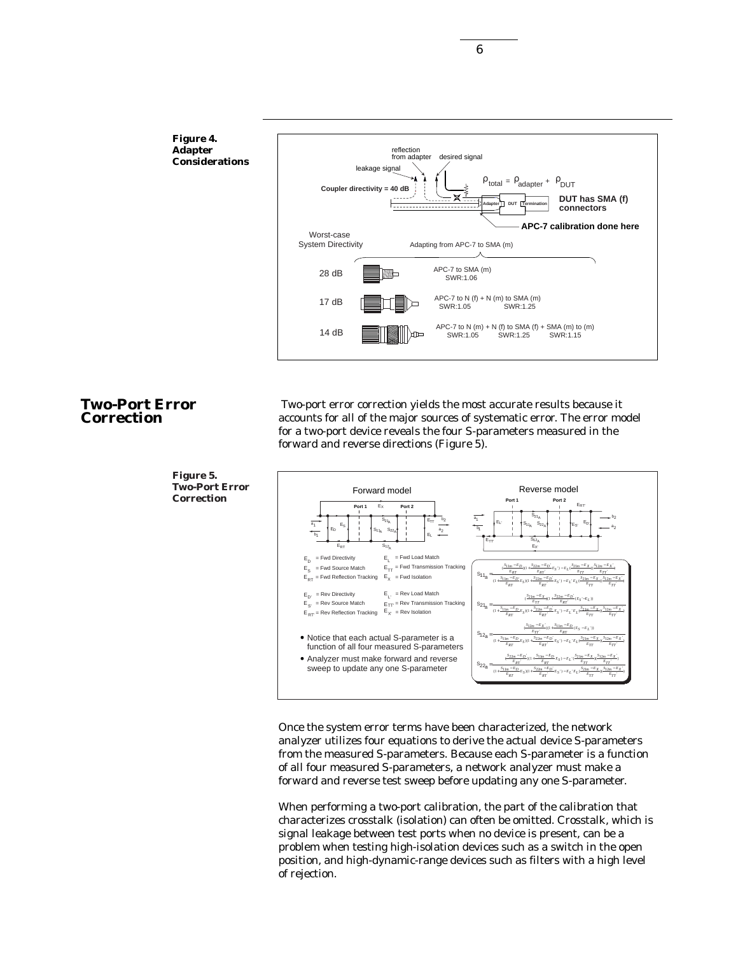

**Two-Port Error Correction**

Two-port error correction yields the most accurate results because it accounts for all of the major sources of systematic error. The error model for a two-port device reveals the four S-parameters measured in the forward and reverse directions (Figure 5).



Once the system error terms have been characterized, the network analyzer utilizes four equations to derive the actual device S-parameters from the measured S-parameters. Because each S-parameter is a function of all four measured S-parameters, a network analyzer must make a forward and reverse test sweep before updating any one S-parameter.

When performing a two-port calibration, the part of the calibration that characterizes crosstalk (isolation) can often be omitted. Crosstalk, which is signal leakage between test ports when no device is present, can be a problem when testing high-isolation devices such as a switch in the open position, and high-dynamic-range devices such as filters with a high level of rejection.

6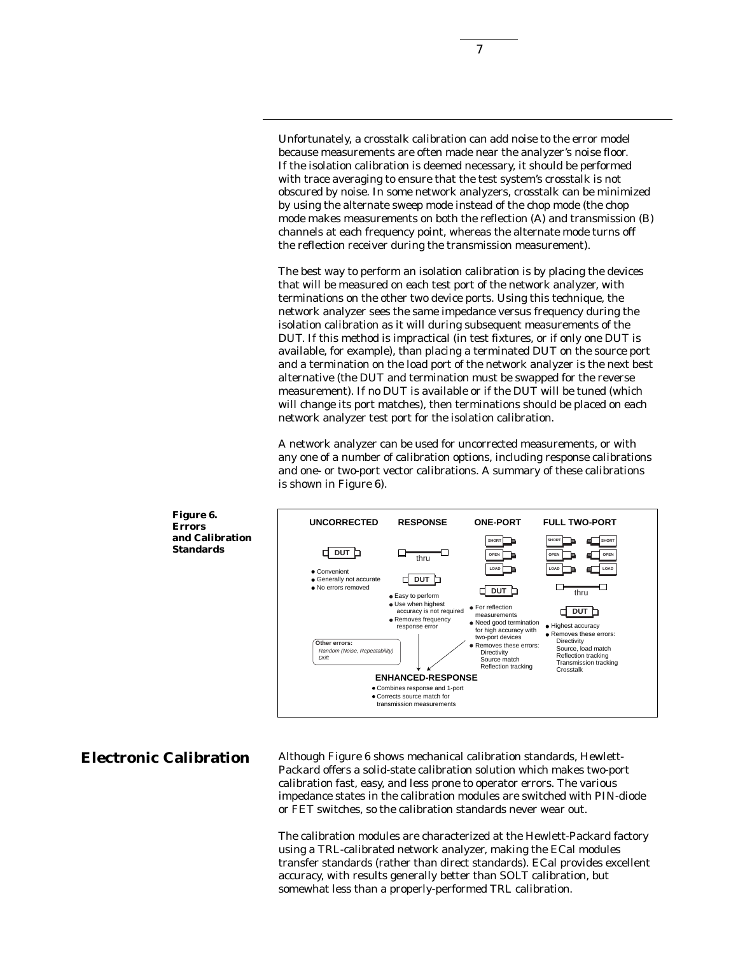Unfortunately, a crosstalk calibration can add noise to the error model because measurements are often made near the analyzer's noise floor. If the isolation calibration is deemed necessary, it should be performed with trace averaging to ensure that the test system's crosstalk is not obscured by noise. In some network analyzers, crosstalk can be minimized by using the alternate sweep mode instead of the chop mode (the chop mode makes measurements on both the reflection (A) and transmission (B) channels at each frequency point, whereas the alternate mode turns off the reflection receiver during the transmission measurement).

The best way to perform an isolation calibration is by placing the devices that will be measured on each test port of the network analyzer, with terminations on the other two device ports. Using this technique, the network analyzer sees the same impedance versus frequency during the isolation calibration as it will during subsequent measurements of the DUT. If this method is impractical (in test fixtures, or if only one DUT is available, for example), than placing a terminated DUT on the source port and a termination on the load port of the network analyzer is the next best alternative (the DUT and termination must be swapped for the reverse measurement). If no DUT is available or if the DUT will be tuned (which will change its port matches), then terminations should be placed on each network analyzer test port for the isolation calibration.

A network analyzer can be used for uncorrected measurements, or with any one of a number of calibration options, including response calibrations and one- or two-port vector calibrations. A summary of these calibrations is shown in Figure 6).



**Figure 6. Errors and Calibration Standards**

**Electronic Calibration** Although Figure 6 shows mechanical calibration standards, Hewlett-Packard offers a solid-state calibration solution which makes two-port calibration fast, easy, and less prone to operator errors. The various impedance states in the calibration modules are switched with PIN-diode or FET switches, so the calibration standards never wear out.

> The calibration modules are characterized at the Hewlett-Packard factory using a TRL-calibrated network analyzer, making the ECal modules transfer standards (rather than direct standards). ECal provides excellent accuracy, with results generally better than SOLT calibration, but somewhat less than a properly-performed TRL calibration.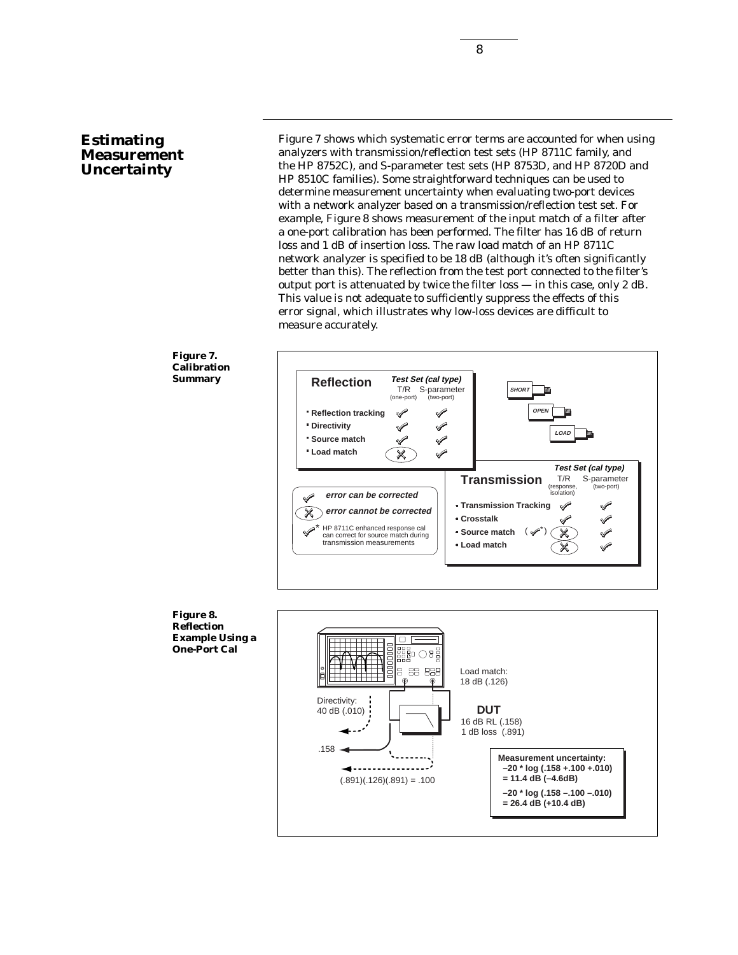# **Estimating Measurement Uncertainty**

**Figure 7. Calibration Summary**

Figure 7 shows which systematic error terms are accounted for when using analyzers with transmission/reflection test sets (HP 8711C family, and the HP 8752C), and S-parameter test sets (HP 8753D, and HP 8720D and HP 8510C families). Some straightforward techniques can be used to determine measurement uncertainty when evaluating two-port devices with a network analyzer based on a transmission/reflection test set. For example, Figure 8 shows measurement of the input match of a filter after a one-port calibration has been performed. The filter has 16 dB of return loss and 1 dB of insertion loss. The raw load match of an HP 8711C network analyzer is specified to be 18 dB (although it's often significantly better than this). The reflection from the test port connected to the filter's output port is attenuated by twice the filter loss — in this case, only 2 dB. This value is not adequate to sufficiently suppress the effects of this error signal, which illustrates why low-loss devices are difficult to measure accurately.

8



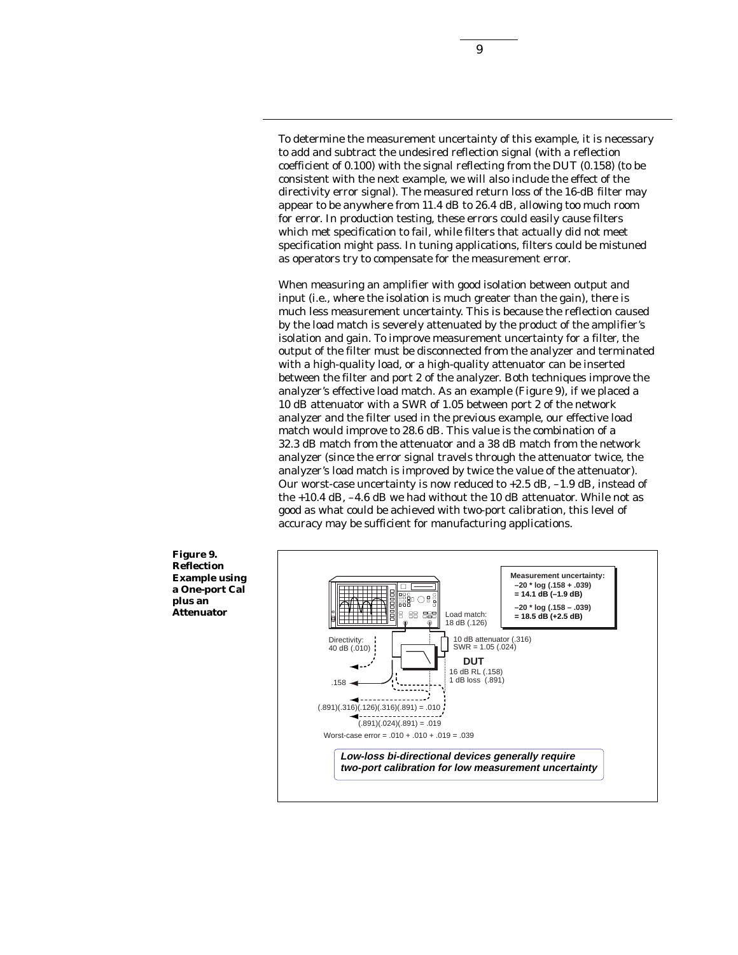To determine the measurement uncertainty of this example, it is necessary to add and subtract the undesired reflection signal (with a reflection coefficient of 0.100) with the signal reflecting from the DUT (0.158) (to be consistent with the next example, we will also include the effect of the directivity error signal). The measured return loss of the 16-dB filter may appear to be anywhere from 11.4 dB to 26.4 dB, allowing too much room for error. In production testing, these errors could easily cause filters which met specification to fail, while filters that actually did not meet specification might pass. In tuning applications, filters could be mistuned as operators try to compensate for the measurement error.

9

When measuring an amplifier with good isolation between output and input (i.e., where the isolation is much greater than the gain), there is much less measurement uncertainty. This is because the reflection caused by the load match is severely attenuated by the product of the amplifier's isolation and gain. To improve measurement uncertainty for a filter, the output of the filter must be disconnected from the analyzer and terminated with a high-quality load, or a high-quality attenuator can be inserted between the filter and port 2 of the analyzer. Both techniques improve the analyzer's effective load match. As an example (Figure 9), if we placed a 10 dB attenuator with a SWR of 1.05 between port 2 of the network analyzer and the filter used in the previous example, our effective load match would improve to 28.6 dB. This value is the combination of a 32.3 dB match from the attenuator and a 38 dB match from the network analyzer (since the error signal travels through the attenuator twice, the analyzer's load match is improved by twice the value of the attenuator). Our worst-case uncertainty is now reduced to +2.5 dB, –1.9 dB, instead of the +10.4 dB, –4.6 dB we had without the 10 dB attenuator. While not as good as what could be achieved with two-port calibration, this level of accuracy may be sufficient for manufacturing applications.

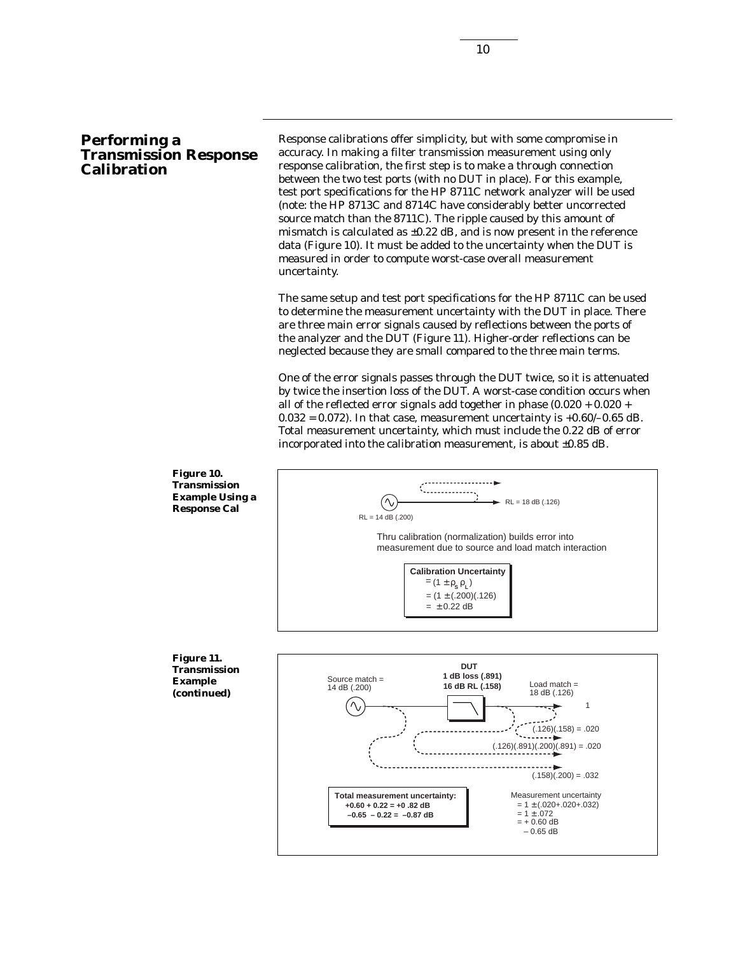Response calibrations offer simplicity, but with some compromise in accuracy. In making a filter transmission measurement using only response calibration, the first step is to make a through connection between the two test ports (with no DUT in place). For this example, test port specifications for the HP 8711C network analyzer will be used (note: the HP 8713C and 8714C have considerably better uncorrected source match than the 8711C). The ripple caused by this amount of mismatch is calculated as ±0.22 dB, and is now present in the reference data (Figure 10). It must be added to the uncertainty when the DUT is measured in order to compute worst-case overall measurement uncertainty.

The same setup and test port specifications for the HP 8711C can be used to determine the measurement uncertainty with the DUT in place. There are three main error signals caused by reflections between the ports of the analyzer and the DUT (Figure 11). Higher-order reflections can be neglected because they are small compared to the three main terms.

One of the error signals passes through the DUT twice, so it is attenuated by twice the insertion loss of the DUT. A worst-case condition occurs when all of the reflected error signals add together in phase  $(0.020 + 0.020 + 1)$  $0.032 = 0.072$ ). In that case, measurement uncertainty is  $+0.60$ /-0.65 dB. Total measurement uncertainty, which must include the 0.22 dB of error incorporated into the calibration measurement, is about ±0.85 dB.

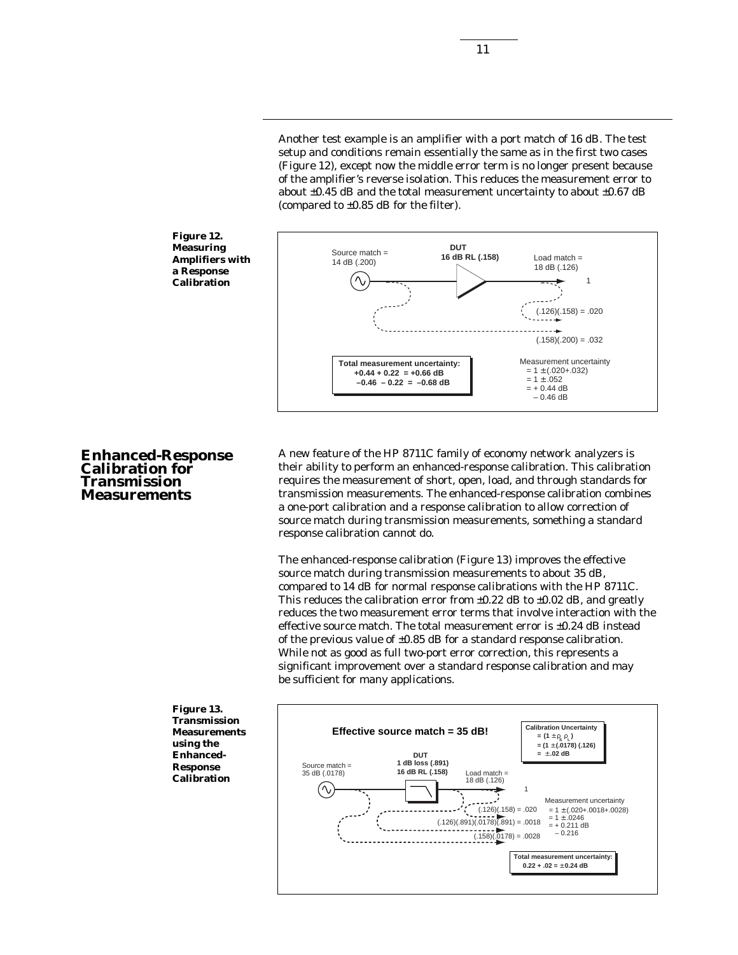Another test example is an amplifier with a port match of 16 dB. The test setup and conditions remain essentially the same as in the first two cases (Figure 12), except now the middle error term is no longer present because of the amplifier's reverse isolation. This reduces the measurement error to about  $\pm 0.45$  dB and the total measurement uncertainty to about  $\pm 0.67$  dB (compared to  $\pm 0.85$  dB for the filter).



**Enhanced-Response**

A new feature of the HP 8711C family of economy network analyzers is their ability to perform an enhanced-response calibration. This calibration requires the measurement of short, open, load, and through standards for transmission measurements. The enhanced-response calibration combines a one-port calibration and a response calibration to allow correction of source match during transmission measurements, something a standard response calibration cannot do.

The enhanced-response calibration (Figure 13) improves the effective source match during transmission measurements to about 35 dB, compared to 14 dB for normal response calibrations with the HP 8711C. This reduces the calibration error from  $\pm 0.22$  dB to  $\pm 0.02$  dB, and greatly reduces the two measurement error terms that involve interaction with the effective source match. The total measurement error is  $\pm 0.24$  dB instead of the previous value of  $\pm 0.85$  dB for a standard response calibration. While not as good as full two-port error correction, this represents a significant improvement over a standard response calibration and may be sufficient for many applications.



# **Calibration for Transmission Measurements**

**Figure 13. Transmission Measurements using the Enhanced-Response Calibration**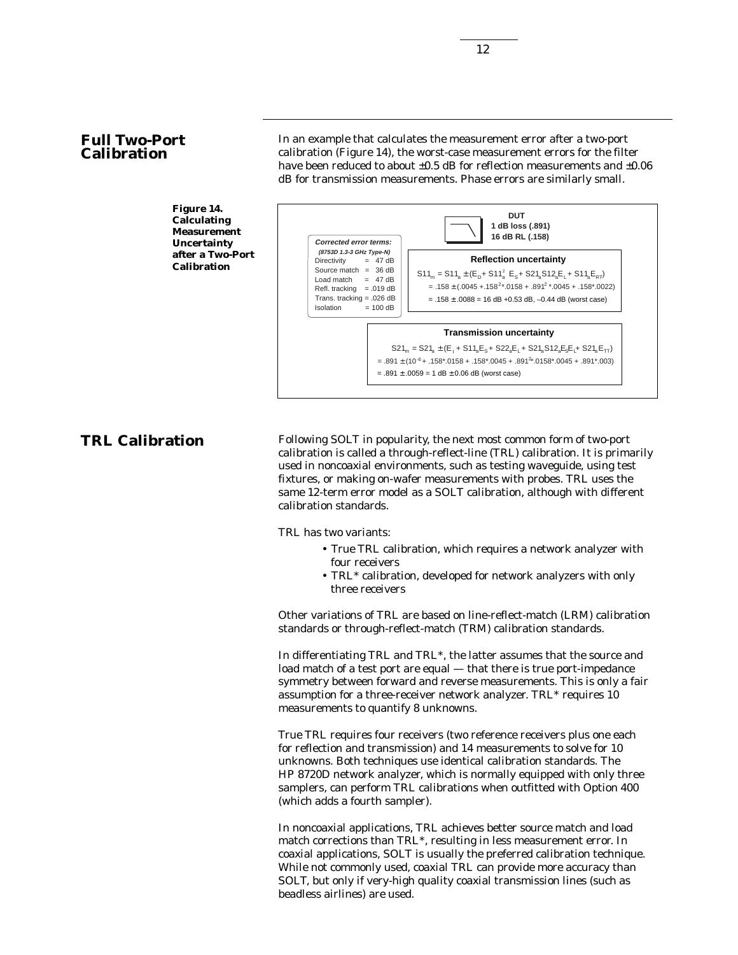In an example that calculates the measurement error after a two-port calibration (Figure 14), the worst-case measurement errors for the filter have been reduced to about  $\pm 0.5$  dB for reflection measurements and  $\pm 0.06$ dB for transmission measurements. Phase errors are similarly small.



**TRL Calibration** Following SOLT in popularity, the next most common form of two-port calibration is called a through-reflect-line (TRL) calibration. It is primarily used in noncoaxial environments, such as testing waveguide, using test fixtures, or making on-wafer measurements with probes. TRL uses the same 12-term error model as a SOLT calibration, although with different calibration standards.

TRL has two variants:

- True TRL calibration, which requires a network analyzer with four receivers
- TRL\* calibration, developed for network analyzers with only three receivers

Other variations of TRL are based on line-reflect-match (LRM) calibration standards or through-reflect-match (TRM) calibration standards.

In differentiating TRL and TRL\*, the latter assumes that the source and load match of a test port are equal — that there is true port-impedance symmetry between forward and reverse measurements. This is only a fair assumption for a three-receiver network analyzer. TRL\* requires 10 measurements to quantify 8 unknowns.

True TRL requires four receivers (two reference receivers plus one each for reflection and transmission) and 14 measurements to solve for 10 unknowns. Both techniques use identical calibration standards. The HP 8720D network analyzer, which is normally equipped with only three samplers, can perform TRL calibrations when outfitted with Option 400 (which adds a fourth sampler).

In noncoaxial applications, TRL achieves better source match and load match corrections than TRL\*, resulting in less measurement error. In coaxial applications, SOLT is usually the preferred calibration technique. While not commonly used, coaxial TRL can provide more accuracy than SOLT, but only if very-high quality coaxial transmission lines (such as beadless airlines) are used.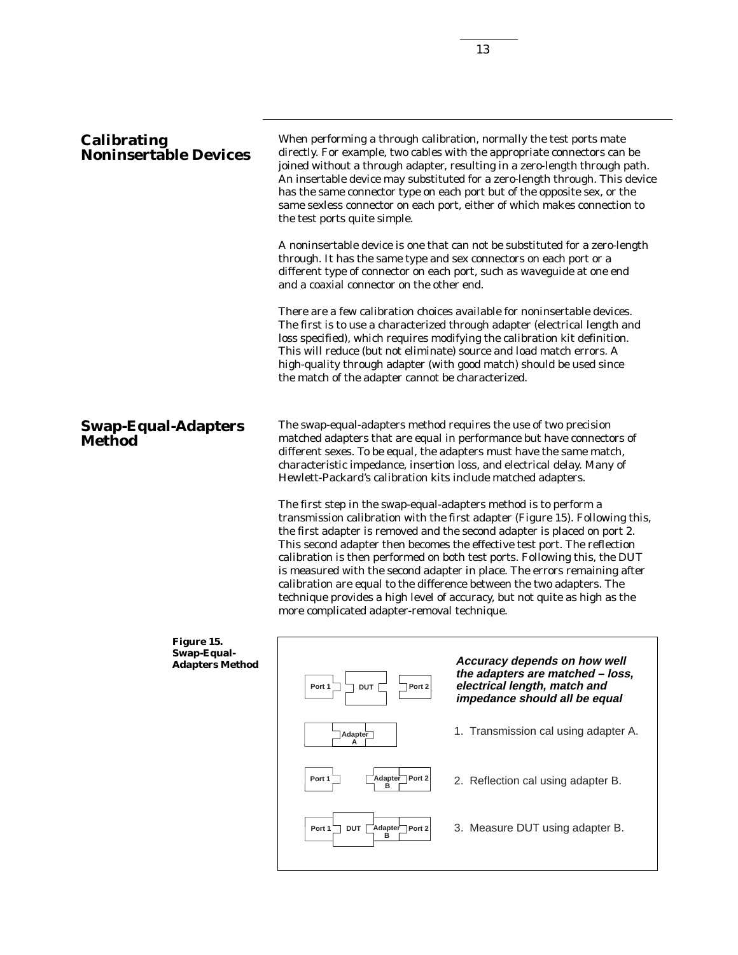## **Calibrating Noninsertable Devices** When performing a through calibration, normally the test ports mate directly. For example, two cables with the appropriate connectors can be joined without a through adapter, resulting in a zero-length through path. An insertable device may substituted for a zero-length through. This device has the same connector type on each port but of the opposite sex, or the same sexless connector on each port, either of which makes connection to the test ports quite simple. A noninsertable device is one that can not be substituted for a zero-length through. It has the same type and sex connectors on each port or a different type of connector on each port, such as waveguide at one end and a coaxial connector on the other end. There are a few calibration choices available for noninsertable devices. The first is to use a characterized through adapter (electrical length and loss specified), which requires modifying the calibration kit definition. This will reduce (but not eliminate) source and load match errors. A high-quality through adapter (with good match) should be used since the match of the adapter cannot be characterized. The swap-equal-adapters method requires the use of two precision matched adapters that are equal in performance but have connectors of different sexes. To be equal, the adapters must have the same match, characteristic impedance, insertion loss, and electrical delay. Many of Hewlett-Packard's calibration kits include matched adapters. The first step in the swap-equal-adapters method is to perform a transmission calibration with the first adapter (Figure 15). Following this, the first adapter is removed and the second adapter is placed on port 2. **Swap-Equal-Adapters Method**

This second adapter then becomes the effective test port. The reflection calibration is then performed on both test ports. Following this, the DUT is measured with the second adapter in place. The errors remaining after calibration are equal to the difference between the two adapters. The technique provides a high level of accuracy, but not quite as high as the more complicated adapter-removal technique.

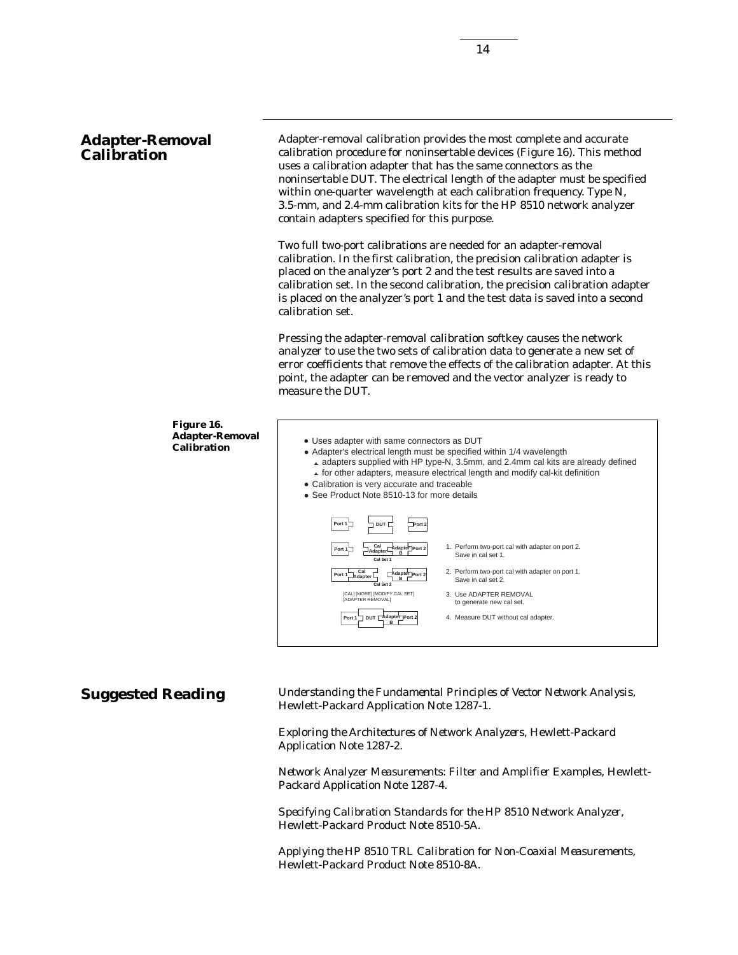# **Adapter-Removal Calibration**

Adapter-removal calibration provides the most complete and accurate calibration procedure for noninsertable devices (Figure 16). This method uses a calibration adapter that has the same connectors as the noninsertable DUT. The electrical length of the adapter must be specified within one-quarter wavelength at each calibration frequency. Type N, 3.5-mm, and 2.4-mm calibration kits for the HP 8510 network analyzer contain adapters specified for this purpose.

Two full two-port calibrations are needed for an adapter-removal calibration. In the first calibration, the precision calibration adapter is placed on the analyzer's port 2 and the test results are saved into a calibration set. In the second calibration, the precision calibration adapter is placed on the analyzer's port 1 and the test data is saved into a second calibration set.

Pressing the adapter-removal calibration softkey causes the network analyzer to use the two sets of calibration data to generate a new set of error coefficients that remove the effects of the calibration adapter. At this point, the adapter can be removed and the vector analyzer is ready to measure the DUT.

#### **Figure 16. Adapter-Removal Calibration**

- Uses adapter with same connectors as DUT
	- Adapter's electrical length must be specified within 1/4 wavelength
	- adapters supplied with HP type-N, 3.5mm, and 2.4mm cal kits are already defined for other adapters, measure electrical length and modify cal-kit definition
- Calibration is very accurate and traceable
- See Product Note 8510-13 for more details



# **Suggested Reading**

*Understanding the Fundamental Principles of Vector Network Analysis*, Hewlett-Packard Application Note 1287-1.

*Exploring the Architectures of Network Analyzers*, Hewlett-Packard Application Note 1287-2.

*Network Analyzer Measurements: Filter and Amplifier Examples*, Hewlett-Packard Application Note 1287-4.

*Specifying Calibration Standards for the HP 8510 Network Analyzer*, Hewlett-Packard Product Note 8510-5A.

*Applying the HP 8510 TRL Calibration for Non-Coaxial Measurements*, Hewlett-Packard Product Note 8510-8A.